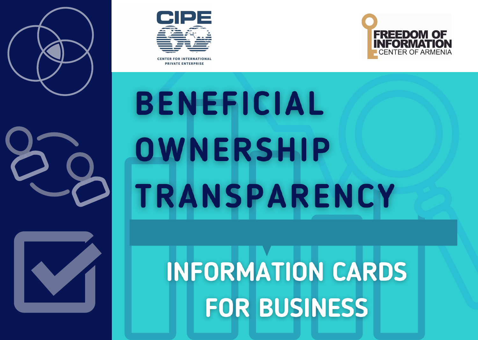



CENTER FOR INTERNATIONAL **DRIVATE ENTERPRISE** 



# **BENEFICIAL** OWNERSHIP **TRANSPARENCY**

**INFORMATION CARDS FOR BUSINESS**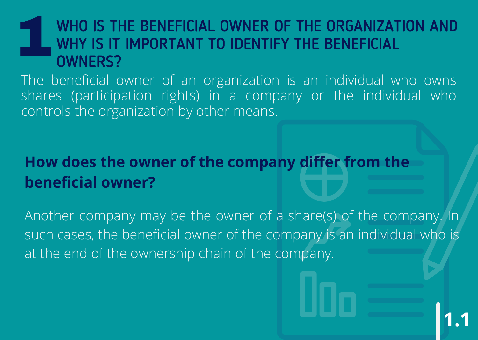#### WHO IS THE BENEFICIAL OWNER OF THE ORGANIZATION AND WHY IS IT IMPORTANT TO IDENTIFY THE BENEFICIAL OWNERS? 1

The beneficial owner of an organization is an individual who owns shares (participation rights) in a company or the individual who controls the organization by other means.

### **How does the owner of the company differ from the beneficial owner?**

Another company may be the owner of a share(s) of the company. In such cases, the beneficial owner of the company is an individual who is at the end of the ownership chain of the company.

**1.1**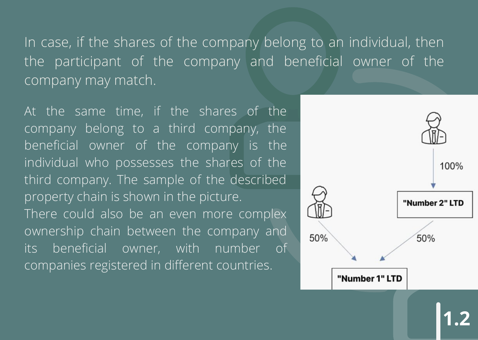In case, if the shares of the company belong to an individual, then the participant of the company and beneficial owner of the company may match.

At the same time, if the shares of the company belong to a third company, the beneficial owner of the company is the individual who possesses the shares of the third company. The sample of the described property chain is shown in the picture. There could also be an even more complex ownership chain between the company and its beneficial owner, with number of companies registered in different countries.

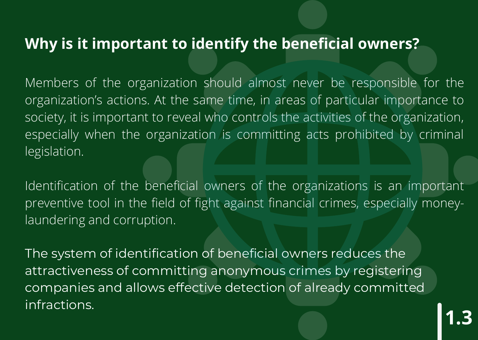#### **Why is it important to identify the beneficial owners?**

Members of the organization should almost never be responsible for the organization's actions. At the same time, in areas of particular importance to society, it is important to reveal who controls the activities of the organization, especially when the organization is committing acts prohibited by criminal legislation.

Identification of the beneficial owners of the organizations is an important preventive tool in the field of fight against financial crimes, especially moneylaundering and corruption.

The system of identification of beneficial owners reduces the attractiveness of committing anonymous crimes by registering companies and allows effective detection of already committed infractions.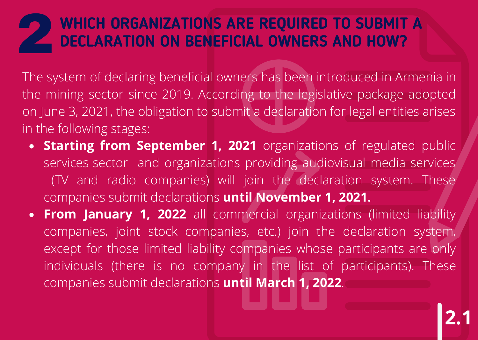# **WHICH ORGANIZATIONS ARE REQUIRED TO SUBMIT <sup>A</sup>** 2**DECLARATION ON BENEFICIAL OWNERS AND HOW?**

The system of declaring beneficial owners has been introduced in Armenia in the mining sector since 2019. According to the legislative package adopted on June 3, 2021, the obligation to submit a declaration for legal entities arises in the following stages:

- **Starting from September 1, 2021** organizations of regulated public services sector and organizations providing audiovisual media services (TV and radio companies) will join the declaration system. These companies submit declarations **until November 1, 2021.**
- **From January 1, 2022** all commercial organizations (limited liability companies, joint stock companies, etc.) join the declaration system, except for those limited liability companies whose participants are only individuals (there is no company in the list of participants). These companies submit declarations **until March 1, 2022**.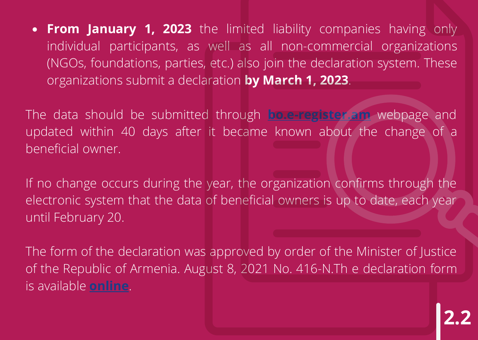**From January 1, 2023** the limited liability companies having only individual participants, as well as all non-commercial organizations (NGOs, foundations, parties, etc.) also join the declaration system. These organizations submit a declaration **by March 1, 2023**.

The data should be submitted through **[bo.e-register.am](http://bo.e-register.am/)** webpage and updated within 40 days after it became known about the change of a beneficial owner.

If no change occurs during the year, the organization confirms through the electronic system that the data of beneficial owners is up to date, each year until February 20.

The form of the declaration was approved by order of the Minister of Justice of the Republic of Armenia. August 8, 2021 No. 416-N.Th e declaration form is available **[online](http://www.arlis.am/DocumentView.aspx?DocID=155465)**.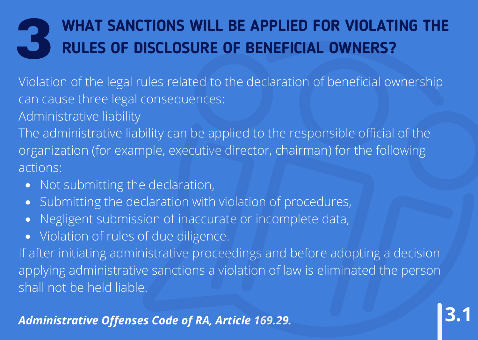### 3 **WHAT SANCTIONS WILL BE APPLIED FOR VIOLATING THE RULES OF DISCLOSURE OF BENEFICIAL OWNERS?**

Violation of the legal rules related to the declaration of beneficial ownership can cause three legal consequences:

Administrative liability

The administrative liability can be applied to the responsible official of the organization (for example, executive director, chairman) for the following actions:

- Not submitting the declaration,
- Submitting the declaration with violation of procedures,
- Negligent submission of inaccurate or incomplete data,
- Violation of rules of due diligence.

If after initiating administrative proceedings and before adopting a decision applying administrative sanctions a violation of law is eliminated the person shall not be held liable.

**3.1**

*Administrative Offenses Code of RA, Article 169.29.*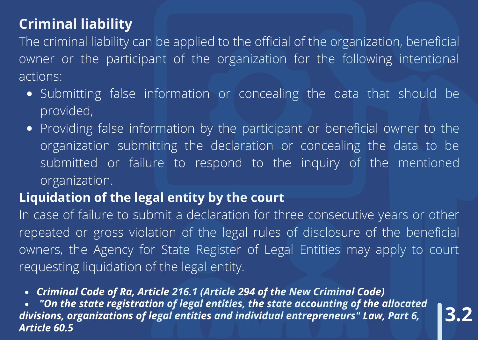#### **Criminal liability**

The criminal liability can be applied to the official of the organization, beneficial owner or the participant of the organization for the following intentional actions:

- Submitting false information or concealing the data that should be provided,
- Providing false information by the participant or beneficial owner to the organization submitting the declaration or concealing the data to be submitted or failure to respond to the inquiry of the mentioned organization.

#### **Liquidation of the legal entity by the court**

In case of failure to submit a declaration for three consecutive years or other repeated or gross violation of the legal rules of disclosure of the beneficial owners, the Agency for State Register of Legal Entities may apply to court requesting liquidation of the legal entity.

*Criminal Code of Ra, Article 216.1 (Article 294 of the New Criminal Code)*

*"On the state registration of legal entities, the state accounting of the allocated divisions, organizations of legal entities and individual entrepreneurs" Law, Part 6, Article 60.5*

**3.2**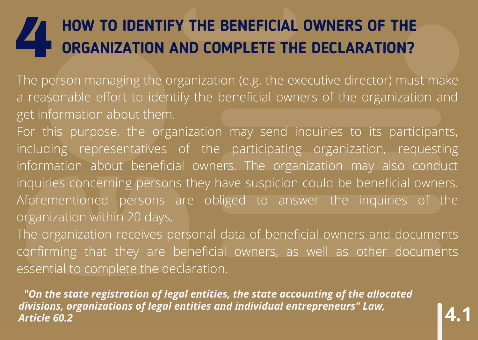# **HOW TO IDENTIFY THE BENEFICIAL OWNERS OF THE ORGANIZATION AND COMPLETE THE DECLARATION? ORGANIZATION AND COMPLETE THE DECLARATION?**

The person managing the organization (e.g. the executive director) must make a reasonable effort to identify the beneficial owners of the organization and get information about them.

For this purpose, the organization may send inquiries to its participants, including representatives of the participating organization, requesting information about beneficial owners. The organization may also conduct inquiries concerning persons they have suspicion could be beneficial owners. Aforementioned persons are obliged to answer the inquiries of the organization within 20 days.

The organization receives personal data of beneficial owners and documents confirming that they are beneficial owners, as well as other documents essential to complete the declaration.

 *"On the state registration of legal entities, the state accounting of the allocated divisions, organizations of legal entities and individual entrepreneurs" Law, Article 60.2*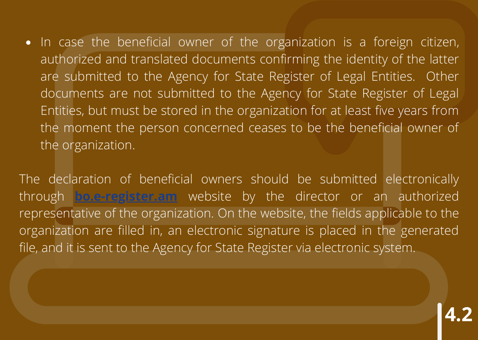• In case the beneficial owner of the organization is a foreign citizen, authorized and translated documents confirming the identity of the latter are submitted to the Agency for State Register of Legal Entities. Other documents are not submitted to the Agency for State Register of Legal Entities, but must be stored in the organization for at least five years from the moment the person concerned ceases to be the beneficial owner of the organization.

The declaration of beneficial owners should be submitted electronically through **[bo.e-register.am](http://bo.e-register.am/)** website by the director or an authorized representative of the organization. On the website, the fields applicable to the organization are filled in, an electronic signature is placed in the generated file, and it is sent to the Agency for State Register via electronic system.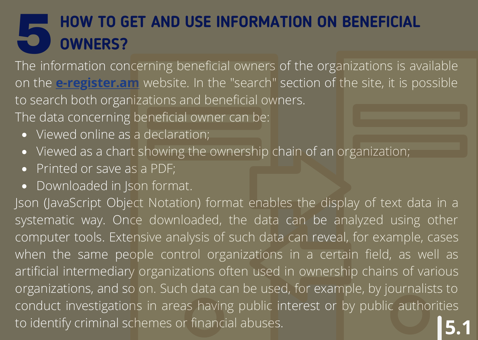## **Formation The information concerning beneficial owners of the organizations is available**<br>The information concerning beneficial owners of the organizations is available **HOW TO GET AND USE INFORMATION ON BENEFICIAL OWNERS?**

on the **[e-register.am](http://e-register.am/)** website. In the "search" section of the site, it is possible to search both organizations and beneficial owners. The data concerning beneficial owner can be:

- Viewed online as a declaration:
- Viewed as a chart showing the ownership chain of an organization;
- Printed or save as a PDF;  $\bullet$
- Downloaded in Json format.

Json (JavaScript Object Notation) format enables the display of text data in a systematic way. Once downloaded, the data can be analyzed using other computer tools. Extensive analysis of such data can reveal, for example, cases when the same people control organizations in a certain field, as well as artificial intermediary organizations often used in ownership chains of various organizations, and so on. Such data can be used, for example, by journalists to conduct investigations in areas having public interest or by public authorities to identify criminal schemes or financial abuses. **5.1**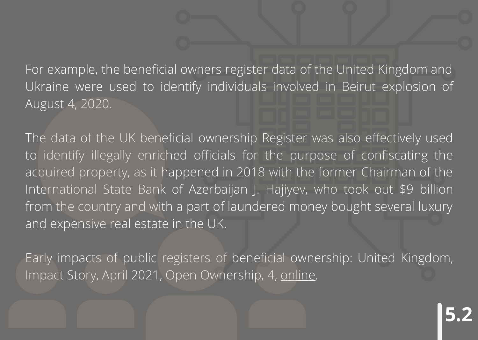For example, the beneficial owners register data of the United Kingdom and Ukraine were used to identify individuals involved in Beirut explosion of August 4, 2020.

The data of the UK beneficial ownership Register was also effectively used to identify illegally enriched officials for the purpose of confiscating the acquired property, as it happened in 2018 with the former Chairman of the International State Bank of Azerbaijan J. Hajiyev, who took out \$9 billion, from the country and with a part of laundered money bought several luxury and expensive real estate in the UK.

Early impacts of public registers of beneficial ownership: United Kingdom, Impact Story, April 2021, Open Ownership, 4, [online.](https://www.openownership.org/uploads/OO%20Impact%20Story%20UK.pdf)